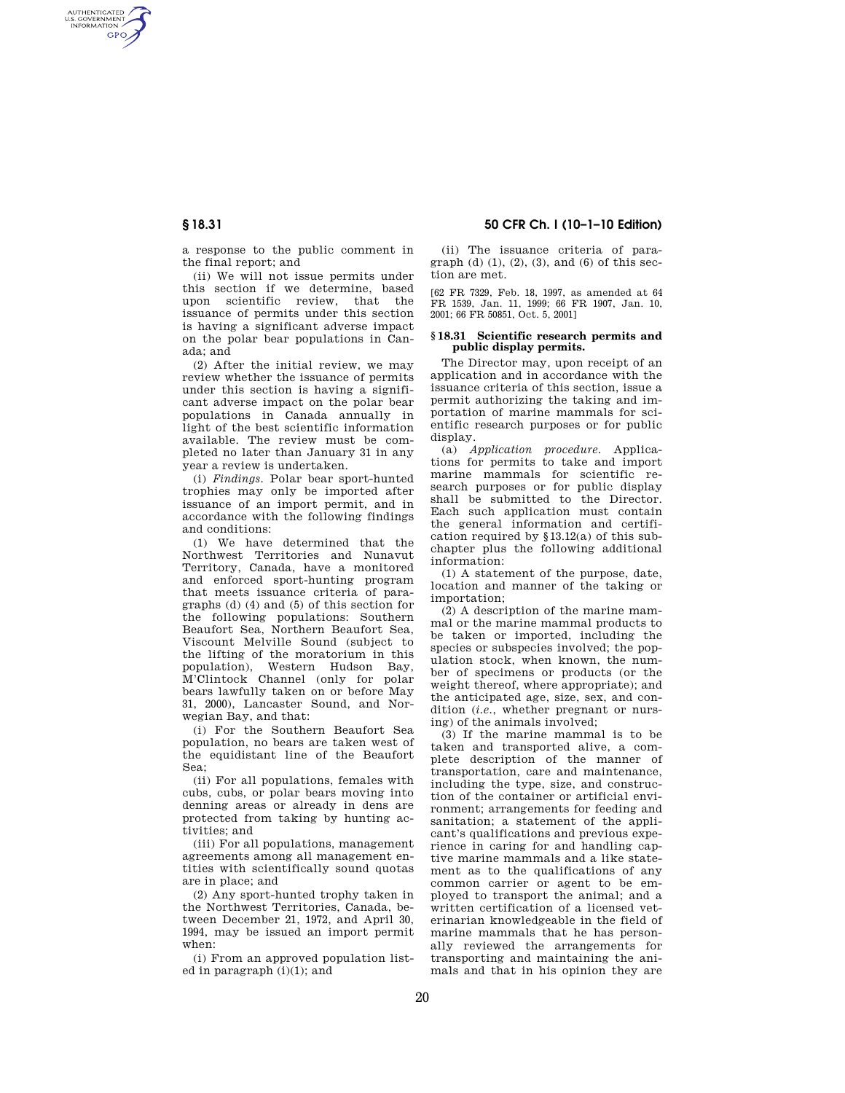AUTHENTICATED<br>U.S. GOVERNMENT<br>INFORMATION **GPO** 

**§ 18.31 50 CFR Ch. I (10–1–10 Edition)** 

a response to the public comment in the final report; and

(ii) We will not issue permits under this section if we determine, based upon scientific review, that the issuance of permits under this section is having a significant adverse impact on the polar bear populations in Canada; and

(2) After the initial review, we may review whether the issuance of permits under this section is having a significant adverse impact on the polar bear populations in Canada annually in light of the best scientific information available. The review must be completed no later than January 31 in any year a review is undertaken.

(i) *Findings.* Polar bear sport-hunted trophies may only be imported after issuance of an import permit, and in accordance with the following findings and conditions:

(1) We have determined that the Northwest Territories and Nunavut Territory, Canada, have a monitored and enforced sport-hunting program that meets issuance criteria of paragraphs (d) (4) and (5) of this section for the following populations: Southern Beaufort Sea, Northern Beaufort Sea, Viscount Melville Sound (subject to the lifting of the moratorium in this population), Western Hudson Bay, M'Clintock Channel (only for polar bears lawfully taken on or before May 31, 2000), Lancaster Sound, and Norwegian Bay, and that:

(i) For the Southern Beaufort Sea population, no bears are taken west of the equidistant line of the Beaufort Sea;

(ii) For all populations, females with cubs, cubs, or polar bears moving into denning areas or already in dens are protected from taking by hunting activities; and

(iii) For all populations, management agreements among all management entities with scientifically sound quotas are in place; and

(2) Any sport-hunted trophy taken in the Northwest Territories, Canada, between December 21, 1972, and April 30, 1994, may be issued an import permit when:

(i) From an approved population listed in paragraph (i)(1); and

(ii) The issuance criteria of paragraph (d)  $(1)$ ,  $(2)$ ,  $(3)$ , and  $(6)$  of this section are met.

[62 FR 7329, Feb. 18, 1997, as amended at 64 FR 1539, Jan. 11, 1999; 66 FR 1907, Jan. 10, 2001; 66 FR 50851, Oct. 5, 2001]

#### **§ 18.31 Scientific research permits and public display permits.**

The Director may, upon receipt of an application and in accordance with the issuance criteria of this section, issue a permit authorizing the taking and importation of marine mammals for scientific research purposes or for public display.

(a) *Application procedure.* Applications for permits to take and import marine mammals for scientific research purposes or for public display shall be submitted to the Director. Each such application must contain the general information and certification required by §13.12(a) of this subchapter plus the following additional information:

(1) A statement of the purpose, date, location and manner of the taking or importation;

(2) A description of the marine mammal or the marine mammal products to be taken or imported, including the species or subspecies involved; the population stock, when known, the number of specimens or products (or the weight thereof, where appropriate); and the anticipated age, size, sex, and condition (*i.e.*, whether pregnant or nursing) of the animals involved;

(3) If the marine mammal is to be taken and transported alive, a complete description of the manner of transportation, care and maintenance, including the type, size, and construction of the container or artificial environment; arrangements for feeding and sanitation; a statement of the applicant's qualifications and previous experience in caring for and handling captive marine mammals and a like statement as to the qualifications of any common carrier or agent to be employed to transport the animal; and a written certification of a licensed veterinarian knowledgeable in the field of marine mammals that he has personally reviewed the arrangements for transporting and maintaining the animals and that in his opinion they are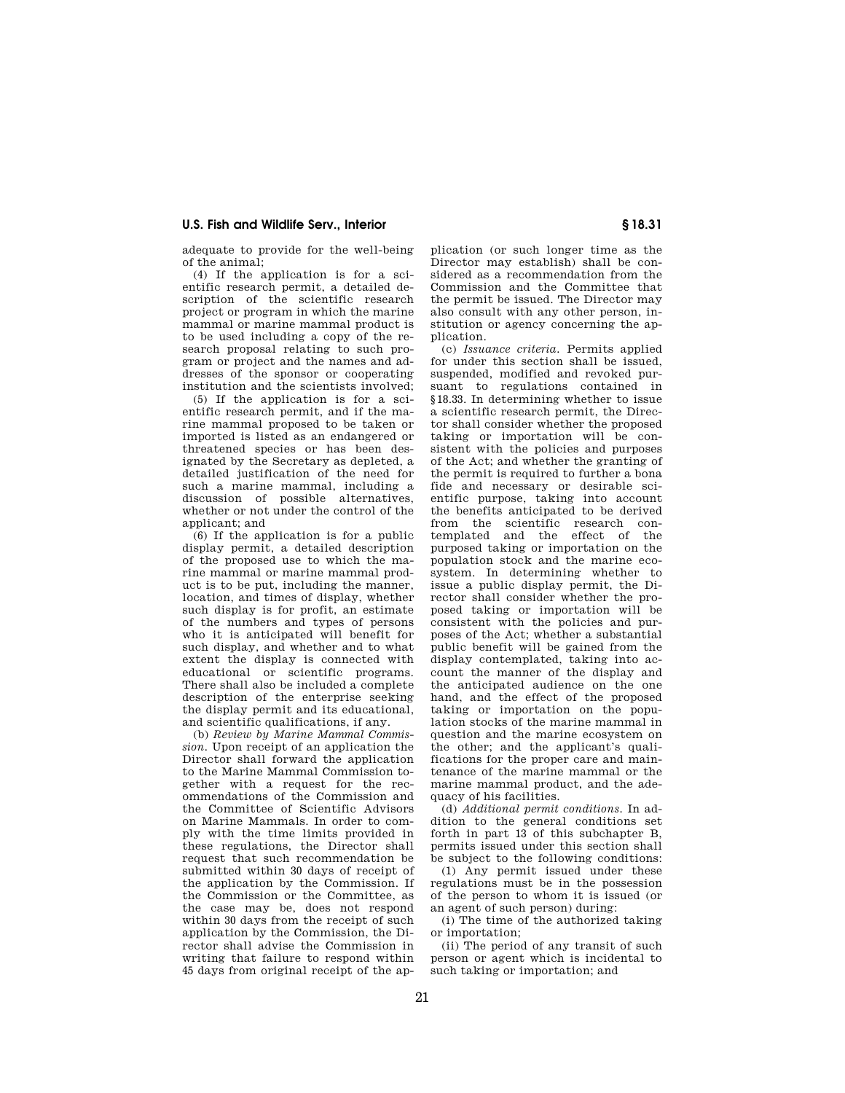### **U.S. Fish and Wildlife Serv., Interior § 18.31**

adequate to provide for the well-being of the animal;

(4) If the application is for a scientific research permit, a detailed description of the scientific research project or program in which the marine mammal or marine mammal product is to be used including a copy of the research proposal relating to such program or project and the names and addresses of the sponsor or cooperating institution and the scientists involved;

 $(5)$  If the application is for a scientific research permit, and if the marine mammal proposed to be taken or imported is listed as an endangered or threatened species or has been designated by the Secretary as depleted, a detailed justification of the need for such a marine mammal, including a discussion of possible alternatives, whether or not under the control of the applicant; and

(6) If the application is for a public display permit, a detailed description of the proposed use to which the marine mammal or marine mammal product is to be put, including the manner, location, and times of display, whether such display is for profit, an estimate of the numbers and types of persons who it is anticipated will benefit for such display, and whether and to what extent the display is connected with educational or scientific programs. There shall also be included a complete description of the enterprise seeking the display permit and its educational, and scientific qualifications, if any.

(b) *Review by Marine Mammal Commission.* Upon receipt of an application the Director shall forward the application to the Marine Mammal Commission together with a request for the recommendations of the Commission and the Committee of Scientific Advisors on Marine Mammals. In order to comply with the time limits provided in these regulations, the Director shall request that such recommendation be submitted within 30 days of receipt of the application by the Commission. If the Commission or the Committee, as the case may be, does not respond within 30 days from the receipt of such application by the Commission, the Director shall advise the Commission in writing that failure to respond within 45 days from original receipt of the ap-

plication (or such longer time as the Director may establish) shall be considered as a recommendation from the Commission and the Committee that the permit be issued. The Director may also consult with any other person, institution or agency concerning the application.

(c) *Issuance criteria.* Permits applied for under this section shall be issued, suspended, modified and revoked pursuant to regulations contained in §18.33. In determining whether to issue a scientific research permit, the Director shall consider whether the proposed taking or importation will be consistent with the policies and purposes of the Act; and whether the granting of the permit is required to further a bona fide and necessary or desirable scientific purpose, taking into account the benefits anticipated to be derived from the scientific research contemplated and the effect of the purposed taking or importation on the population stock and the marine ecosystem. In determining whether to issue a public display permit, the Director shall consider whether the proposed taking or importation will be consistent with the policies and purposes of the Act; whether a substantial public benefit will be gained from the display contemplated, taking into account the manner of the display and the anticipated audience on the one hand, and the effect of the proposed taking or importation on the population stocks of the marine mammal in question and the marine ecosystem on the other; and the applicant's qualifications for the proper care and maintenance of the marine mammal or the marine mammal product, and the adequacy of his facilities.

(d) *Additional permit conditions.* In addition to the general conditions set forth in part 13 of this subchapter B, permits issued under this section shall be subject to the following conditions:

(1) Any permit issued under these regulations must be in the possession of the person to whom it is issued (or an agent of such person) during:

(i) The time of the authorized taking or importation;

(ii) The period of any transit of such person or agent which is incidental to such taking or importation; and